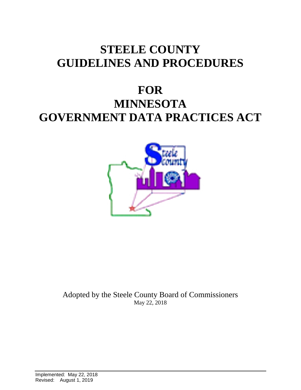# **STEELE COUNTY GUIDELINES AND PROCEDURES**

# **FOR MINNESOTA GOVERNMENT DATA PRACTICES ACT**



Adopted by the Steele County Board of Commissioners May 22, 2018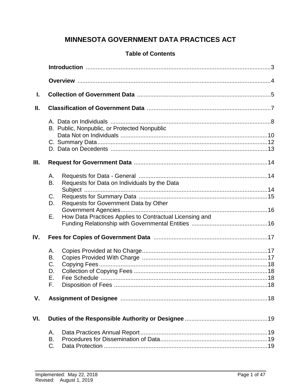# **MINNESOTA GOVERNMENT DATA PRACTICES ACT**

# **Table of Contents**

| L    |                                  |                                                         |
|------|----------------------------------|---------------------------------------------------------|
| Ш.   |                                  |                                                         |
|      |                                  | B. Public, Nonpublic, or Protected Nonpublic            |
| III. |                                  |                                                         |
|      | А.<br>B.                         | Requests for Data on Individuals by the Data            |
|      | C.<br>D.                         | Requests for Government Data by Other                   |
|      | Ε.                               | How Data Practices Applies to Contractual Licensing and |
| IV.  |                                  |                                                         |
|      | Α.<br>B.<br>C.<br>D.<br>Ε.<br>F. |                                                         |
| V.   |                                  |                                                         |
| VI.  |                                  |                                                         |
|      | Α.<br>B.<br>C.                   |                                                         |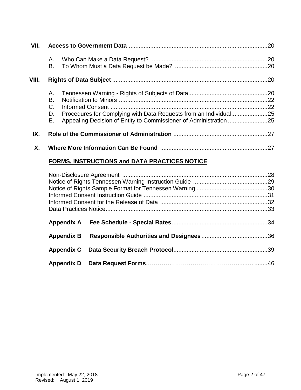| VII.  |                      |                                                                  | .20 |
|-------|----------------------|------------------------------------------------------------------|-----|
|       | А.<br>В.             |                                                                  |     |
| VIII. |                      |                                                                  |     |
|       | Α.<br>В.<br>C.<br>D. | Procedures for Complying with Data Requests from an Individual25 |     |
|       | Е.                   |                                                                  |     |
| IX.   |                      |                                                                  |     |
| Χ.    |                      |                                                                  | .27 |

# **FORMS, INSTRUCTIONS and DATA PRACTICES NOTICE**

| <b>Appendix B</b> |  |
|-------------------|--|
| <b>Appendix C</b> |  |
| <b>Appendix D</b> |  |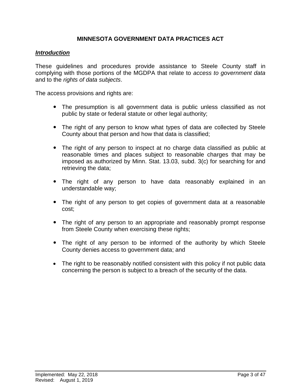### **MINNESOTA GOVERNMENT DATA PRACTICES ACT**

#### *Introduction*

These guidelines and procedures provide assistance to Steele County staff in complying with those portions of the MGDPA that relate to *access to government data*  and to the *rights of data subjects*.

The access provisions and rights are:

- The presumption is all government data is public unless classified as not public by state or federal statute or other legal authority;
- The right of any person to know what types of data are collected by Steele County about that person and how that data is classified;
- The right of any person to inspect at no charge data classified as public at reasonable times and places subject to reasonable charges that may be imposed as authorized by Minn. Stat. 13.03, subd. 3(c) for searching for and retrieving the data;
- The right of any person to have data reasonably explained in an understandable way;
- The right of any person to get copies of government data at a reasonable cost;
- The right of any person to an appropriate and reasonably prompt response from Steele County when exercising these rights;
- The right of any person to be informed of the authority by which Steele County denies access to government data; and
- The right to be reasonably notified consistent with this policy if not public data concerning the person is subject to a breach of the security of the data.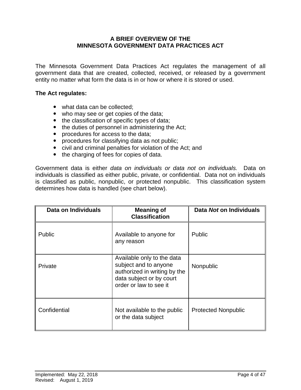#### **A BRIEF OVERVIEW OF THE MINNESOTA GOVERNMENT DATA PRACTICES ACT**

The Minnesota Government Data Practices Act regulates the management of all government data that are created, collected, received, or released by a government entity no matter what form the data is in or how or where it is stored or used.

#### **The Act regulates:**

- what data can be collected;
- who may see or get copies of the data;
- the classification of specific types of data;
- the duties of personnel in administering the Act;
- procedures for access to the data;
- procedures for classifying data as not public;
- civil and criminal penalties for violation of the Act; and
- the charging of fees for copies of data.

Government data is either *data on individuals or data not on individuals.* Data on individuals is classified as either public, private, or confidential. Data not on individuals is classified as public, nonpublic, or protected nonpublic. This classification system determines how data is handled (see chart below).

| Data on Individuals | <b>Meaning of</b><br><b>Classification</b>                                                                                                | Data Not on Individuals    |
|---------------------|-------------------------------------------------------------------------------------------------------------------------------------------|----------------------------|
| <b>Public</b>       | Available to anyone for<br>any reason                                                                                                     | <b>Public</b>              |
| Private             | Available only to the data<br>subject and to anyone<br>authorized in writing by the<br>data subject or by court<br>order or law to see it | Nonpublic                  |
| Confidential        | Not available to the public<br>or the data subject                                                                                        | <b>Protected Nonpublic</b> |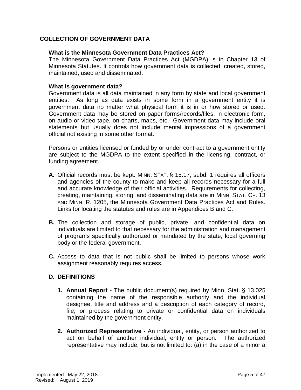# **COLLECTION OF GOVERNMENT DATA**

#### **What is the Minnesota Government Data Practices Act?**

The Minnesota Government Data Practices Act (MGDPA) is in Chapter 13 of Minnesota Statutes. It controls how government data is collected, created, stored, maintained, used and disseminated.

#### **What is government data?**

Government data is all data maintained in any form by state and local government entities. As long as data exists in some form in a government entity it is government data no matter what physical form it is in or how stored or used. Government data may be stored on paper forms/records/files, in electronic form, on audio or video tape, on charts, maps, etc. Government data may include oral statements but usually does not include mental impressions of a government official not existing in some other format.

Persons or entities licensed or funded by or under contract to a government entity are subject to the MGDPA to the extent specified in the licensing, contract, or funding agreement.

- **A.** Official records must be kept. MINN. STAT. § 15.17, subd. 1 requires all officers and agencies of the county to make and keep all records necessary for a full and accurate knowledge of their official activities. Requirements for collecting, creating, maintaining, storing, and disseminating data are in MINN. STAT. CH. 13 AND MINN. R. 1205, the Minnesota Government Data Practices Act and Rules. Links for locating the statutes and rules are in Appendices B and C.
- **B.** The collection and storage of public, private, and confidential data on individuals are limited to that necessary for the administration and management of programs specifically authorized or mandated by the state, local governing body or the federal government.
- **C.** Access to data that is not public shall be limited to persons whose work assignment reasonably requires access.

# **D. DEFINITIONS**

- **1. Annual Report** The public document(s) required by Minn. Stat. § 13.025 containing the name of the responsible authority and the individual designee, title and address and a description of each category of record, file, or process relating to private or confidential data on individuals maintained by the government entity.
- **2. Authorized Representative** An individual, entity, or person authorized to act on behalf of another individual, entity or person. The authorized representative may include, but is not limited to: (a) in the case of a minor a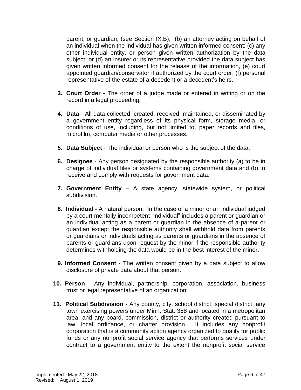parent, or guardian, (see Section IX.B); (b) an attorney acting on behalf of an individual when the individual has given written informed consent; (c) any other individual entity, or person given written authorization by the data subject; or (d) an insurer or its representative provided the data subject has given written informed consent for the release of the information, (e) court appointed guardian/conservator if authorized by the court order, (f) personal representative of the estate of a decedent or a decedent's heirs.

- **3. Court Order** The order of a judge made or entered in writing or on the record in a legal proceeding**.**
- **4. Data** All data collected, created, received, maintained, or disseminated by a government entity regardless of its physical form, storage media, or conditions of use, including, but not limited to, paper records and files, microfilm, computer media or other processes.
- **5. Data Subject** The individual or person who is the subject of the data.
- **6. Designee** Any person designated by the responsible authority (a) to be in charge of individual files or systems containing government data and (b) to receive and comply with requests for government data.
- **7. Government Entity** A state agency, statewide system, or political subdivision.
- **8. Individual** A natural person. In the case of a minor or an individual judged by a court mentally incompetent "individual" includes a parent or guardian or an individual acting as a parent or guardian in the absence of a parent or guardian except the responsible authority shall withhold data from parents or guardians or individuals acting as parents or guardians in the absence of parents or guardians upon request by the minor if the responsible authority determines withholding the data would be in the best interest of the minor.
- **9. Informed Consent** The written consent given by a data subject to allow disclosure of private data about that person.
- **10. Person** Any individual, partnership, corporation, association, business trust or legal representative of an organization.
- **11. Political Subdivision** Any county, city, school district, special district, any town exercising powers under Minn. Stat. 368 and located in a metropolitan area, and any board, commission, district or authority created pursuant to law, local ordinance, or charter provision. It includes any nonprofit corporation that is a community action agency organized to qualify for public funds or any nonprofit social service agency that performs services under contract to a government entity to the extent the nonprofit social service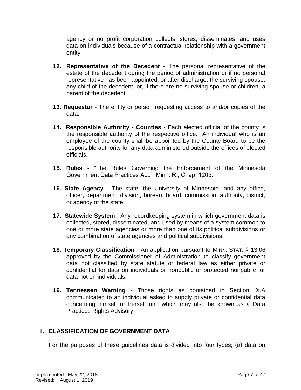agency or nonprofit corporation collects, stores, disseminates, and uses data on individuals because of a contractual relationship with a government entity.

- **12. Representative of the Decedent** The personal representative of the estate of the decedent during the period of administration or if no personal representative has been appointed, or after discharge, the surviving spouse, any child of the decedent, or, if there are no surviving spouse or children, a parent of the decedent.
- **13. Requestor** The entity or person requesting access to and/or copies of the data.
- **14. Responsible Authority - Counties** Each elected official of the county is the responsible authority of the respective office. An individual who is an employee of the county shall be appointed by the County Board to be the responsible authority for any data administered outside the offices of elected officials.
- **15. Rules -** "The Rules Governing the Enforcement of the Minnesota Government Data Practices Act." Minn. R., Chap. 1205.
- **16. State Agency** The state, the University of Minnesota, and any office, officer, department, division, bureau, board, commission, authority, district, or agency of the state.
- **17. Statewide System** Any recordkeeping system in which government data is collected, stored, disseminated, and used by means of a system common to one or more state agencies or more than one of its political subdivisions or any combination of state agencies and political subdivisions.
- **18. Temporary Classification** An application pursuant to MINN. STAT. § 13.06 approved by the Commissioner of Administration to classify government data not classified by state statute or federal law as either private or confidential for data on individuals or nonpublic or protected nonpublic for data not on individuals.
- **19. Tennessen Warning** Those rights as contained in Section IX.A communicated to an individual asked to supply private or confidential data concerning himself or herself and which may also be known as a Data Practices Rights Advisory.

# **II. CLASSIFICATION OF GOVERNMENT DATA**

For the purposes of these guidelines data is divided into four types; (a) data on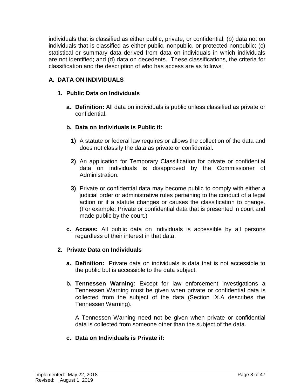individuals that is classified as either public, private, or confidential; (b) data not on individuals that is classified as either public, nonpublic, or protected nonpublic; (c) statistical or summary data derived from data on individuals in which individuals are not identified; and (d) data on decedents. These classifications, the criteria for classification and the description of who has access are as follows:

# **A. DATA ON INDIVIDUALS**

### **1. Public Data on Individuals**

**a. Definition:** All data on individuals is public unless classified as private or confidential.

### **b. Data on Individuals is Public if:**

- **1)** A statute or federal law requires or allows the collection of the data and does not classify the data as private or confidential.
- **2)** An application for Temporary Classification for private or confidential data on individuals is disapproved by the Commissioner of Administration.
- **3)** Private or confidential data may become public to comply with either a judicial order or administrative rules pertaining to the conduct of a legal action or if a statute changes or causes the classification to change. (For example: Private or confidential data that is presented in court and made public by the court.)
- **c. Access:** All public data on individuals is accessible by all persons regardless of their interest in that data.

#### **2. Private Data on Individuals**

- **a. Definition:** Private data on individuals is data that is not accessible to the public but is accessible to the data subject.
- **b. Tennessen Warning**: Except for law enforcement investigations a Tennessen Warning must be given when private or confidential data is collected from the subject of the data (Section IX.A describes the Tennessen Warning).

A Tennessen Warning need not be given when private or confidential data is collected from someone other than the subject of the data.

#### **c. Data on Individuals is Private if:**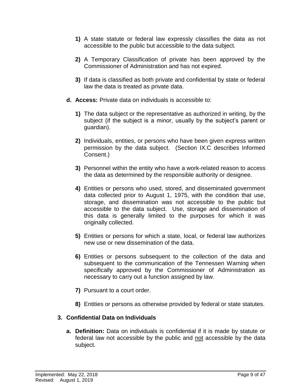- **1)** A state statute or federal law expressly classifies the data as not accessible to the public but accessible to the data subject.
- **2)** A Temporary Classification of private has been approved by the Commissioner of Administration and has not expired.
- **3)** If data is classified as both private and confidential by state or federal law the data is treated as private data.
- **d. Access:** Private data on individuals is accessible to:
	- **1)** The data subject or the representative as authorized in writing, by the subject (if the subject is a minor, usually by the subject's parent or guardian).
	- **2)** Individuals, entities, or persons who have been given express written permission by the data subject. (Section IX.C describes Informed Consent.)
	- **3)** Personnel within the entity who have a work-related reason to access the data as determined by the responsible authority or designee.
	- **4)** Entities or persons who used, stored, and disseminated government data collected prior to August 1, 1975, with the condition that use, storage, and dissemination was not accessible to the public but accessible to the data subject. Use, storage and dissemination of this data is generally limited to the purposes for which it was originally collected.
	- **5)** Entities or persons for which a state, local, or federal law authorizes new use or new dissemination of the data.
	- **6)** Entities or persons subsequent to the collection of the data and subsequent to the communication of the Tennessen Warning when specifically approved by the Commissioner of Administration as necessary to carry out a function assigned by law.
	- **7)** Pursuant to a court order.
	- **8)** Entities or persons as otherwise provided by federal or state statutes.

# **3. Confidential Data on Individuals**

**a. Definition:** Data on individuals is confidential if it is made by statute or federal law not accessible by the public and not accessible by the data subject.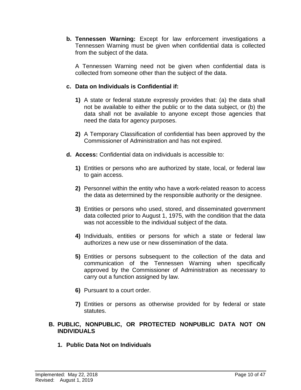**b. Tennessen Warning:** Except for law enforcement investigations a Tennessen Warning must be given when confidential data is collected from the subject of the data.

A Tennessen Warning need not be given when confidential data is collected from someone other than the subject of the data.

### **c. Data on Individuals is Confidential if:**

- **1)** A state or federal statute expressly provides that: (a) the data shall not be available to either the public or to the data subject, or (b) the data shall not be available to anyone except those agencies that need the data for agency purposes.
- **2)** A Temporary Classification of confidential has been approved by the Commissioner of Administration and has not expired.
- **d. Access:** Confidential data on individuals is accessible to:
	- **1)** Entities or persons who are authorized by state, local, or federal law to gain access.
	- **2)** Personnel within the entity who have a work-related reason to access the data as determined by the responsible authority or the designee.
	- **3)** Entities or persons who used, stored, and disseminated government data collected prior to August 1, 1975, with the condition that the data was not accessible to the individual subject of the data.
	- **4)** Individuals, entities or persons for which a state or federal law authorizes a new use or new dissemination of the data.
	- **5)** Entities or persons subsequent to the collection of the data and communication of the Tennessen Warning when specifically approved by the Commissioner of Administration as necessary to carry out a function assigned by law.
	- **6)** Pursuant to a court order.
	- **7)** Entities or persons as otherwise provided for by federal or state statutes.
- **B. PUBLIC, NONPUBLIC, OR PROTECTED NONPUBLIC DATA NOT ON INDIVIDUALS**
	- **1. Public Data Not on Individuals**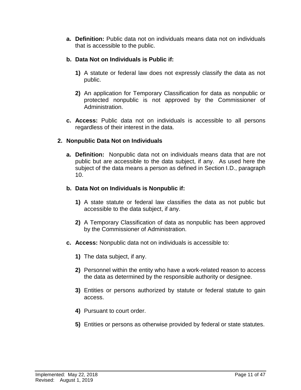**a. Definition:** Public data not on individuals means data not on individuals that is accessible to the public.

# **b. Data Not on Individuals is Public if:**

- **1)** A statute or federal law does not expressly classify the data as not public.
- **2)** An application for Temporary Classification for data as nonpublic or protected nonpublic is not approved by the Commissioner of Administration.
- **c. Access:** Public data not on individuals is accessible to all persons regardless of their interest in the data.

# **2. Nonpublic Data Not on Individuals**

**a. Definition:** Nonpublic data not on individuals means data that are not public but are accessible to the data subject, if any. As used here the subject of the data means a person as defined in Section I.D., paragraph 10.

# **b. Data Not on Individuals is Nonpublic if:**

- **1)** A state statute or federal law classifies the data as not public but accessible to the data subject, if any.
- **2)** A Temporary Classification of data as nonpublic has been approved by the Commissioner of Administration.
- **c. Access:** Nonpublic data not on individuals is accessible to:
	- **1)** The data subject, if any.
	- **2)** Personnel within the entity who have a work-related reason to access the data as determined by the responsible authority or designee.
	- **3)** Entities or persons authorized by statute or federal statute to gain access.
	- **4)** Pursuant to court order.
	- **5)** Entities or persons as otherwise provided by federal or state statutes.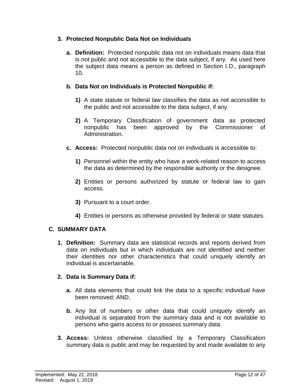# **3. Protected Nonpublic Data Not on Individuals**

**a. Definition:** Protected nonpublic data not on individuals means data that is not public and not accessible to the data subject, if any. As used here the subject data means a person as defined in Section I.D., paragraph 10.

# **b. Data Not on Individuals is Protected Nonpublic if:**

- **1)** A state statute or federal law classifies the data as not accessible to the public and not accessible to the data subject, if any.
- **2)** A Temporary Classification of government data as protected nonpublic has been approved by the Commissioner of Administration.
- **c. Access:** Protected nonpublic data not on individuals is accessible to:
	- **1)** Personnel within the entity who have a work-related reason to access the data as determined by the responsible authority or the designee.
	- **2)** Entities or persons authorized by statute or federal law to gain access.
	- **3)** Pursuant to a court order.
	- **4)** Entities or persons as otherwise provided by federal or state statutes.

# **C. SUMMARY DATA**

**1. Definition:** Summary data are statistical records and reports derived from data on individuals but in which individuals are not identified and neither their identities nor other characteristics that could uniquely identify an individual is ascertainable.

# **2. Data is Summary Data if:**

- **a.** All data elements that could link the data to a specific individual have been removed; AND,
- **b.** Any list of numbers or other data that could uniquely identify an individual is separated from the summary data and is not available to persons who gains access to or possess summary data.
- **3. Access:** Unless otherwise classified by a Temporary Classification summary data is public and may be requested by and made available to any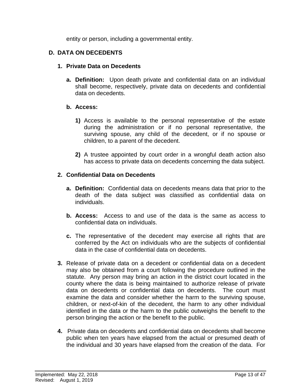entity or person, including a governmental entity.

# **D. DATA ON DECEDENTS**

#### **1. Private Data on Decedents**

**a. Definition:** Upon death private and confidential data on an individual shall become, respectively, private data on decedents and confidential data on decedents.

#### **b. Access:**

- **1)** Access is available to the personal representative of the estate during the administration or if no personal representative, the surviving spouse, any child of the decedent, or if no spouse or children, to a parent of the decedent.
- **2)** A trustee appointed by court order in a wrongful death action also has access to private data on decedents concerning the data subject.

# **2. Confidential Data on Decedents**

- **a. Definition:** Confidential data on decedents means data that prior to the death of the data subject was classified as confidential data on individuals.
- **b. Access:** Access to and use of the data is the same as access to confidential data on individuals.
- **c.** The representative of the decedent may exercise all rights that are conferred by the Act on individuals who are the subjects of confidential data in the case of confidential data on decedents.
- **3.** Release of private data on a decedent or confidential data on a decedent may also be obtained from a court following the procedure outlined in the statute. Any person may bring an action in the district court located in the county where the data is being maintained to authorize release of private data on decedents or confidential data on decedents. The court must examine the data and consider whether the harm to the surviving spouse, children, or next-of-kin of the decedent, the harm to any other individual identified in the data or the harm to the public outweighs the benefit to the person bringing the action or the benefit to the public.
- **4.** Private data on decedents and confidential data on decedents shall become public when ten years have elapsed from the actual or presumed death of the individual and 30 years have elapsed from the creation of the data. For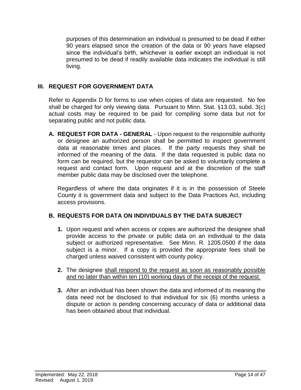purposes of this determination an individual is presumed to be dead if either 90 years elapsed since the creation of the data or 90 years have elapsed since the individual's birth, whichever is earlier except an individual is not presumed to be dead if readily available data indicates the individual is still living.

### **III. REQUEST FOR GOVERNMENT DATA**

Refer to Appendix D for forms to use when copies of data are requested. No fee shall be charged for only viewing data. Pursuant to Minn. Stat. §13.03, subd. 3(c) actual costs may be required to be paid for compiling some data but not for separating public and not public data.

**A. REQUEST FOR DATA - GENERAL** - Upon request to the responsible authority or designee an authorized person shall be permitted to inspect government data at reasonable times and places. If the party requests they shall be informed of the meaning of the data. If the data requested is public data no form can be required, but the requestor can be asked to voluntarily complete a request and contact form. Upon request and at the discretion of the staff member public data may be disclosed over the telephone.

Regardless of where the data originates if it is in the possession of Steele County it is government data and subject to the Data Practices Act, including access provisions.

#### **B. REQUESTS FOR DATA ON INDIVIDUALS BY THE DATA SUBJECT**

- **1.** Upon request and when access or copies are authorized the designee shall provide access to the private or public data on an individual to the data subject or authorized representative. See Minn. R. 1205.0500 if the data subject is a minor. If a copy is provided the appropriate fees shall be charged unless waived consistent with county policy.
- **2.** The designee shall respond to the request as soon as reasonably possible and no later than within ten (10) working days of the receipt of the request.
- **3.** After an individual has been shown the data and informed of its meaning the data need not be disclosed to that individual for six (6) months unless a dispute or action is pending concerning accuracy of data or additional data has been obtained about that individual.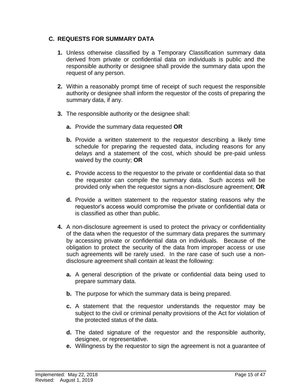# **C. REQUESTS FOR SUMMARY DATA**

- **1.** Unless otherwise classified by a Temporary Classification summary data derived from private or confidential data on individuals is public and the responsible authority or designee shall provide the summary data upon the request of any person.
- **2.** Within a reasonably prompt time of receipt of such request the responsible authority or designee shall inform the requestor of the costs of preparing the summary data, if any.
- **3.** The responsible authority or the designee shall:
	- **a.** Provide the summary data requested **OR**
	- **b.** Provide a written statement to the requestor describing a likely time schedule for preparing the requested data, including reasons for any delays and a statement of the cost, which should be pre-paid unless waived by the county; **OR**
	- **c.** Provide access to the requestor to the private or confidential data so that the requestor can compile the summary data. Such access will be provided only when the requestor signs a non-disclosure agreement; **OR**
	- **d.** Provide a written statement to the requestor stating reasons why the requestor's access would compromise the private or confidential data or is classified as other than public.
- **4.** A non-disclosure agreement is used to protect the privacy or confidentiality of the data when the requestor of the summary data prepares the summary by accessing private or confidential data on individuals. Because of the obligation to protect the security of the data from improper access or use such agreements will be rarely used. In the rare case of such use a nondisclosure agreement shall contain at least the following:
	- **a.** A general description of the private or confidential data being used to prepare summary data.
	- **b.** The purpose for which the summary data is being prepared.
	- **c.** A statement that the requestor understands the requestor may be subject to the civil or criminal penalty provisions of the Act for violation of the protected status of the data.
	- **d.** The dated signature of the requestor and the responsible authority, designee, or representative.
	- **e.** Willingness by the requestor to sign the agreement is not a guarantee of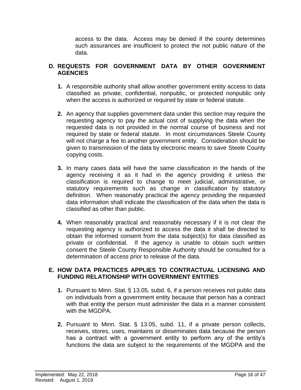access to the data. Access may be denied if the county determines such assurances are insufficient to protect the not public nature of the data.

### **D. REQUESTS FOR GOVERNMENT DATA BY OTHER GOVERNMENT AGENCIES**

- **1.** A responsible authority shall allow another government entity access to data classified as private, confidential, nonpublic, or protected nonpublic only when the access is authorized or required by state or federal statute.
- **2.** An agency that supplies government data under this section may require the requesting agency to pay the actual cost of supplying the data when the requested data is not provided in the normal course of business and not required by state or federal statute. In most circumstances Steele County will not charge a fee to another government entity. Consideration should be given to transmission of the data by electronic means to save Steele County copying costs.
- **3.** In many cases data will have the same classification in the hands of the agency receiving it as it had in the agency providing it unless the classification is required to change to meet judicial, administrative, or statutory requirements such as change in classification by statutory definition. When reasonably practical the agency providing the requested data information shall indicate the classification of the data when the data is classified as other than public.
- **4.** When reasonably practical and reasonably necessary if it is not clear the requesting agency is authorized to access the data it shall be directed to obtain the informed consent from the data subject(s) for data classified as private or confidential. If the agency is unable to obtain such written consent the Steele County Responsible Authority should be consulted for a determination of access prior to release of the data.

### **E. HOW DATA PRACTICES APPLIES TO CONTRACTUAL LICENSING AND FUNDING RELATIONSHIP WITH GOVERNMENT ENTITIES**

- **1.** Pursuant to Minn. Stat. § 13.05, subd. 6, if a person receives not public data on individuals from a government entity because that person has a contract with that entit**y** the person must administer the data in a manner consistent with the MGDPA.
- **2.** Pursuant to Minn. Stat. § 13.05, subd. 11, if a private person collects, receives, stores, uses, maintains or disseminates data because the person has a contract with a government entity to perform any of the entity's functions the data are subject to the requirements of the MGDPA and the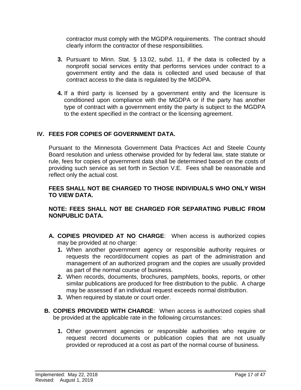contractor must comply with the MGDPA requirements. The contract should clearly inform the contractor of these responsibilities.

- **3.** Pursuant to Minn. Stat. § 13.02, subd. 11, if the data is collected by a nonprofit social services entity that performs services under contract to a government entity and the data is collected and used because of that contract access to the data is regulated by the MGDPA.
- **4.** If a third party is licensed by a government entity and the licensure is conditioned upon compliance with the MGDPA or if the party has another type of contract with a government entity the party is subject to the MGDPA to the extent specified in the contract or the licensing agreement.

# **IV. FEES FOR COPIES OF GOVERNMENT DATA.**

Pursuant to the Minnesota Government Data Practices Act and Steele County Board resolution and unless otherwise provided for by federal law, state statute or rule, fees for copies of government data shall be determined based on the costs of providing such service as set forth in Section V.E. Fees shall be reasonable and reflect only the actual cost.

#### **FEES SHALL NOT BE CHARGED TO THOSE INDIVIDUALS WHO ONLY WISH TO VIEW DATA.**

# **NOTE: FEES SHALL NOT BE CHARGED FOR SEPARATING PUBLIC FROM NONPUBLIC DATA.**

- **A. COPIES PROVIDED AT NO CHARGE**: When access is authorized copies may be provided at no charge:
	- **1.** When another government agency or responsible authority requires or requests the record/document copies as part of the administration and management of an authorized program and the copies are usually provided as part of the normal course of business.
	- **2.** When records, documents, brochures, pamphlets, books, reports, or other similar publications are produced for free distribution to the public. A charge may be assessed if an individual request exceeds normal distribution.
	- **3.** When required by statute or court order.
- **B. COPIES PROVIDED WITH CHARGE**: When access is authorized copies shall be provided at the applicable rate in the following circumstances:
	- **1.** Other government agencies or responsible authorities who require or request record documents or publication copies that are not usually provided or reproduced at a cost as part of the normal course of business.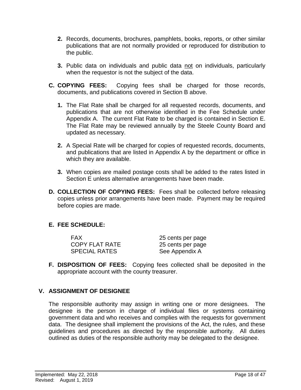- **2.** Records, documents, brochures, pamphlets, books, reports, or other similar publications that are not normally provided or reproduced for distribution to the public.
- **3.** Public data on individuals and public data not on individuals, particularly when the requestor is not the subject of the data.
- **C. COPYING FEES:** Copying fees shall be charged for those records, documents, and publications covered in Section B above.
	- **1.** The Flat Rate shall be charged for all requested records, documents, and publications that are not otherwise identified in the Fee Schedule under Appendix A. The current Flat Rate to be charged is contained in Section E. The Flat Rate may be reviewed annually by the Steele County Board and updated as necessary.
	- **2.** A Special Rate will be charged for copies of requested records, documents, and publications that are listed in Appendix A by the department or office in which they are available.
	- **3.** When copies are mailed postage costs shall be added to the rates listed in Section E unless alternative arrangements have been made.
- **D. COLLECTION OF COPYING FEES:** Fees shall be collected before releasing copies unless prior arrangements have been made. Payment may be required before copies are made.

# **E. FEE SCHEDULE:**

| FAX                   | 25 cents per page |
|-----------------------|-------------------|
| <b>COPY FLAT RATE</b> | 25 cents per page |
| <b>SPECIAL RATES</b>  | See Appendix A    |

**F. DISPOSITION OF FEES:** Copying fees collected shall be deposited in the appropriate account with the county treasurer.

#### **V. ASSIGNMENT OF DESIGNEE**

The responsible authority may assign in writing one or more designees. The designee is the person in charge of individual files or systems containing government data and who receives and complies with the requests for government data. The designee shall implement the provisions of the Act, the rules, and these guidelines and procedures as directed by the responsible authority. All duties outlined as duties of the responsible authority may be delegated to the designee.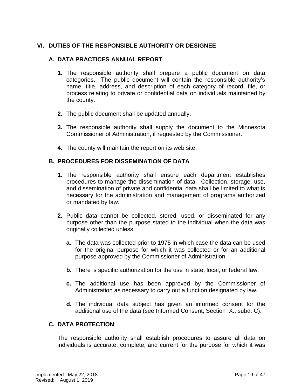# **VI. DUTIES OF THE RESPONSIBLE AUTHORITY OR DESIGNEE**

### **A. DATA PRACTICES ANNUAL REPORT**

- **1.** The responsible authority shall prepare a public document on data categories. The public document will contain the responsible authority's name, title, address, and description of each category of record, file, or process relating to private or confidential data on individuals maintained by the county.
- **2.** The public document shall be updated annually.
- **3.** The responsible authority shall supply the document to the Minnesota Commissioner of Administration, if requested by the Commissioner.
- **4.** The county will maintain the report on its web site.

# **B. PROCEDURES FOR DISSEMINATION OF DATA**

- **1.** The responsible authority shall ensure each department establishes procedures to manage the dissemination of data. Collection, storage, use, and dissemination of private and confidential data shall be limited to what is necessary for the administration and management of programs authorized or mandated by law.
- **2.** Public data cannot be collected, stored, used, or disseminated for any purpose other than the purpose stated to the individual when the data was originally collected unless:
	- **a.** The data was collected prior to 1975 in which case the data can be used for the original purpose for which it was collected or for an additional purpose approved by the Commissioner of Administration.
	- **b.** There is specific authorization for the use in state, local, or federal law.
	- **c.** The additional use has been approved by the Commissioner of Administration as necessary to carry out a function designated by law.
	- **d.** The individual data subject has given an informed consent for the additional use of the data (see Informed Consent, Section IX., subd. C).

# **C. DATA PROTECTION**

The responsible authority shall establish procedures to assure all data on individuals is accurate, complete, and current for the purpose for which it was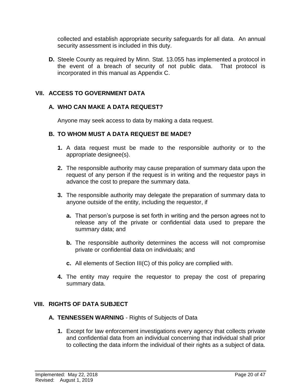collected and establish appropriate security safeguards for all data. An annual security assessment is included in this duty.

**D.** Steele County as required by Minn. Stat. 13.055 has implemented a protocol in the event of a breach of security of not public data. That protocol is incorporated in this manual as Appendix C.

### **VII. ACCESS TO GOVERNMENT DATA**

#### **A. WHO CAN MAKE A DATA REQUEST?**

Anyone may seek access to data by making a data request.

#### **B. TO WHOM MUST A DATA REQUEST BE MADE?**

- **1.** A data request must be made to the responsible authority or to the appropriate designee(s).
- **2.** The responsible authority may cause preparation of summary data upon the request of any person if the request is in writing and the requestor pays in advance the cost to prepare the summary data.
- **3.** The responsible authority may delegate the preparation of summary data to anyone outside of the entity, including the requestor, if
	- **a.** That person's purpose is set forth in writing and the person agrees not to release any of the private or confidential data used to prepare the summary data; and
	- **b.** The responsible authority determines the access will not compromise private or confidential data on individuals; and
	- **c.** All elements of Section III(C) of this policy are complied with.
- **4.** The entity may require the requestor to prepay the cost of preparing summary data.

#### **VIII. RIGHTS OF DATA SUBJECT**

#### **A. TENNESSEN WARNING** - Rights of Subjects of Data

**1.** Except for law enforcement investigations every agency that collects private and confidential data from an individual concerning that individual shall prior to collecting the data inform the individual of their rights as a subject of data.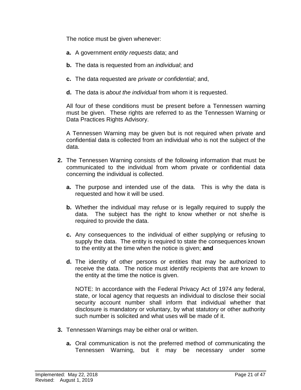The notice must be given whenever:

- **a.** A government *entity requests* data; and
- **b.** The data is requested from an *individual*; and
- **c.** The data requested are *private or confidential*; and,
- **d.** The data is *about the individual* from whom it is requested.

All four of these conditions must be present before a Tennessen warning must be given. These rights are referred to as the Tennessen Warning or Data Practices Rights Advisory.

A Tennessen Warning may be given but is not required when private and confidential data is collected from an individual who is not the subject of the data.

- **2.** The Tennessen Warning consists of the following information that must be communicated to the individual from whom private or confidential data concerning the individual is collected.
	- **a.** The purpose and intended use of the data. This is why the data is requested and how it will be used.
	- **b.** Whether the individual may refuse or is legally required to supply the data. The subject has the right to know whether or not she/he is required to provide the data.
	- **c.** Any consequences to the individual of either supplying or refusing to supply the data. The entity is required to state the consequences known to the entity at the time when the notice is given; **and**
	- **d.** The identity of other persons or entities that may be authorized to receive the data. The notice must identify recipients that are known to the entity at the time the notice is given.

NOTE: In accordance with the Federal Privacy Act of 1974 any federal, state, or local agency that requests an individual to disclose their social security account number shall inform that individual whether that disclosure is mandatory or voluntary, by what statutory or other authority such number is solicited and what uses will be made of it.

- **3.** Tennessen Warnings may be either oral or written.
	- **a.** Oral communication is not the preferred method of communicating the Tennessen Warning, but it may be necessary under some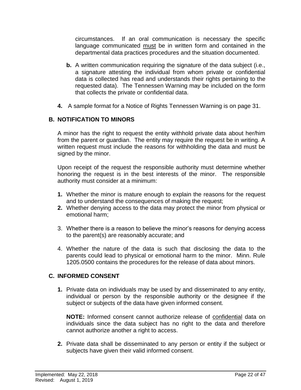circumstances. If an oral communication is necessary the specific language communicated must be in written form and contained in the departmental data practices procedures and the situation documented.

- **b.** A written communication requiring the signature of the data subject (i.e., a signature attesting the individual from whom private or confidential data is collected has read and understands their rights pertaining to the requested data). The Tennessen Warning may be included on the form that collects the private or confidential data.
- **4.** A sample format for a Notice of Rights Tennessen Warning is on page 31.

### **B. NOTIFICATION TO MINORS**

A minor has the right to request the entity withhold private data about her/him from the parent or guardian. The entity may require the request be in writing. A written request must include the reasons for withholding the data and must be signed by the minor.

Upon receipt of the request the responsible authority must determine whether honoring the request is in the best interests of the minor. The responsible authority must consider at a minimum:

- **1.** Whether the minor is mature enough to explain the reasons for the request and to understand the consequences of making the request;
- **2.** Whether denying access to the data may protect the minor from physical or emotional harm;
- 3. Whether there is a reason to believe the minor's reasons for denying access to the parent(s) are reasonably accurate; and
- 4. Whether the nature of the data is such that disclosing the data to the parents could lead to physical or emotional harm to the minor. Minn. Rule 1205.0500 contains the procedures for the release of data about minors.

#### **C. INFORMED CONSENT**

**1.** Private data on individuals may be used by and disseminated to any entity, individual or person by the responsible authority or the designee if the subject or subjects of the data have given informed consent.

**NOTE:** Informed consent cannot authorize release of confidential data on individuals since the data subject has no right to the data and therefore cannot authorize another a right to access.

**2.** Private data shall be disseminated to any person or entity if the subject or subjects have given their valid informed consent.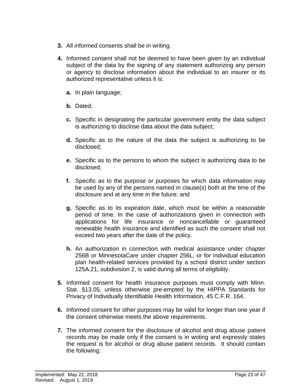- **3.** All informed consents shall be in writing.
- **4.** Informed consent shall not be deemed to have been given by an individual subject of the data by the signing of any statement authorizing any person or agency to disclose information about the individual to an insurer or its authorized representative unless it is:
	- **a.** In plain language;
	- **b.** Dated;
	- **c.** Specific in designating the particular government entity the data subject is authorizing to disclose data about the data subject;
	- **d.** Specific as to the nature of the data the subject is authorizing to be disclosed;
	- **e.** Specific as to the persons to whom the subject is authorizing data to be disclosed;
	- **f.** Specific as to the purpose or purposes for which data information may be used by any of the persons named in clause(s) both at the time of the disclosure and at any time in the future; and
	- **g.** Specific as to its expiration date, which must be within a reasonable period of time. In the case of authorizations given in connection with applications for life insurance or noncancellable or guaranteed renewable health insurance and identified as such the consent shall not exceed two years after the date of the policy.
	- **h.** An authorization in connection with medical assistance under chapter 256B or MinnesotaCare under chapter 256L, or for individual education plan health-related services provided by a school district under section 125A.21, subdivision 2, is valid during all terms of eligibility.
- **5.** Informed consent for health insurance purposes must comply with Minn. Stat. §13.05, unless otherwise pre-empted by the HIPPA Standards for Privacy of Individually Identifiable Health Information, 45 C.F.R. 164.
- **6.** Informed consent for other purposes may be valid for longer than one year if the consent otherwise meets the above requirements.
- **7.** The informed consent for the disclosure of alcohol and drug abuse patient records may be made only if the consent is in writing and expressly states the request is for alcohol or drug abuse patient records. It should contain the following: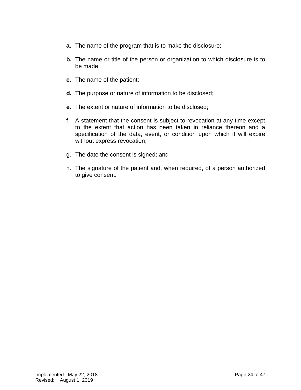- **a.** The name of the program that is to make the disclosure;
- **b.** The name or title of the person or organization to which disclosure is to be made;
- **c.** The name of the patient;
- **d.** The purpose or nature of information to be disclosed;
- **e.** The extent or nature of information to be disclosed;
- f. A statement that the consent is subject to revocation at any time except to the extent that action has been taken in reliance thereon and a specification of the data, event, or condition upon which it will expire without express revocation;
- g. The date the consent is signed; and
- h. The signature of the patient and, when required, of a person authorized to give consent.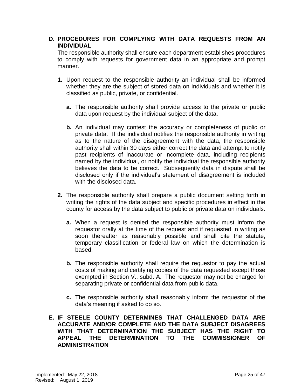# **D. PROCEDURES FOR COMPLYING WITH DATA REQUESTS FROM AN INDIVIDUAL**

The responsible authority shall ensure each department establishes procedures to comply with requests for government data in an appropriate and prompt manner.

- **1.** Upon request to the responsible authority an individual shall be informed whether they are the subject of stored data on individuals and whether it is classified as public, private, or confidential.
	- **a.** The responsible authority shall provide access to the private or public data upon request by the individual subject of the data.
	- **b.** An individual may contest the accuracy or completeness of public or private data. If the individual notifies the responsible authority in writing as to the nature of the disagreement with the data, the responsible authority shall within 30 days either correct the data and attempt to notify past recipients of inaccurate or incomplete data, including recipients named by the individual, or notify the individual the responsible authority believes the data to be correct. Subsequently data in dispute shall be disclosed only if the individual's statement of disagreement is included with the disclosed data.
- **2.** The responsible authority shall prepare a public document setting forth in writing the rights of the data subject and specific procedures in effect in the county for access by the data subject to public or private data on individuals.
	- **a.** When a request is denied the responsible authority must inform the requestor orally at the time of the request and if requested in writing as soon thereafter as reasonably possible and shall cite the statute, temporary classification or federal law on which the determination is based.
	- **b.** The responsible authority shall require the requestor to pay the actual costs of making and certifying copies of the data requested except those exempted in Section V., subd. A. The requestor may not be charged for separating private or confidential data from public data.
	- **c.** The responsible authority shall reasonably inform the requestor of the data's meaning if asked to do so.
- **E. IF STEELE COUNTY DETERMINES THAT CHALLENGED DATA ARE ACCURATE AND/OR COMPLETE AND THE DATA SUBJECT DISAGREES WITH THAT DETERMINATION THE SUBJECT HAS THE RIGHT TO APPEAL THE DETERMINATION TO THE COMMISSIONER OF ADMINISTRATION**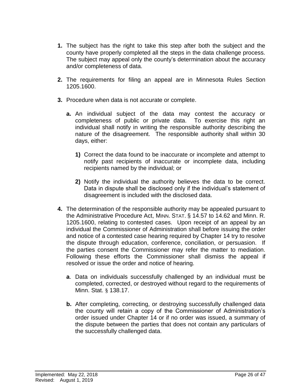- **1.** The subject has the right to take this step after both the subject and the county have properly completed all the steps in the data challenge process. The subject may appeal only the county's determination about the accuracy and/or completeness of data.
- **2.** The requirements for filing an appeal are in Minnesota Rules Section 1205.1600.
- **3.** Procedure when data is not accurate or complete.
	- **a.** An individual subject of the data may contest the accuracy or completeness of public or private data. To exercise this right an individual shall notify in writing the responsible authority describing the nature of the disagreement. The responsible authority shall within 30 days, either:
		- **1)** Correct the data found to be inaccurate or incomplete and attempt to notify past recipients of inaccurate or incomplete data, including recipients named by the individual; or
		- **2)** Notify the individual the authority believes the data to be correct. Data in dispute shall be disclosed only if the individual's statement of disagreement is included with the disclosed data.
- **4.** The determination of the responsible authority may be appealed pursuant to the Administrative Procedure Act, MINN. STAT. § 14.57 to 14.62 and Minn. R. 1205.1600, relating to contested cases. Upon receipt of an appeal by an individual the Commissioner of Administration shall before issuing the order and notice of a contested case hearing required by Chapter 14 try to resolve the dispute through education, conference, conciliation, or persuasion. If the parties consent the Commissioner may refer the matter to mediation. Following these efforts the Commissioner shall dismiss the appeal if resolved or issue the order and notice of hearing.
	- **a**. Data on individuals successfully challenged by an individual must be completed, corrected, or destroyed without regard to the requirements of Minn. Stat. § 138.17.
	- **b.** After completing, correcting, or destroying successfully challenged data the county will retain a copy of the Commissioner of Administration's order issued under Chapter 14 or if no order was issued, a summary of the dispute between the parties that does not contain any particulars of the successfully challenged data.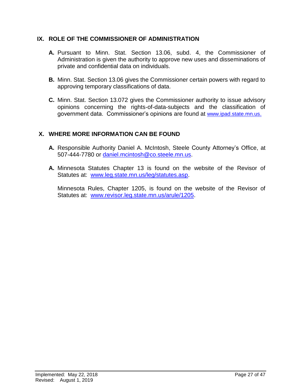### **IX. ROLE OF THE COMMISSIONER OF ADMINISTRATION**

- **A.** Pursuant to Minn. Stat. Section 13.06, subd. 4, the Commissioner of Administration is given the authority to approve new uses and disseminations of private and confidential data on individuals.
- **B.** Minn. Stat. Section 13.06 gives the Commissioner certain powers with regard to approving temporary classifications of data.
- **C.** Minn. Stat. Section 13.072 gives the Commissioner authority to issue advisory opinions concerning the rights-of-data-subjects and the classification of government data. Commissioner's opinions are found at [www.ipad.state.mn.us](http://www.ipad.state.mn.us/).

### **X. WHERE MORE INFORMATION CAN BE FOUND**

- **A.** Responsible Authority Daniel A. McIntosh, Steele County Attorney's Office, at 507-444-7780 or [daniel.mcintosh@co.steele.mn.us.](mailto:daniel.mcintosh@co.steele.mn.us)
- **A.** Minnesota Statutes Chapter 13 is found on the website of the Revisor of Statutes at: [www.leg.state.mn.us/leg/statutes.asp.](http://www.leg.state.mn.us/leg/statutes.asp)

Minnesota Rules, Chapter 1205, is found on the website of the Revisor of Statutes at: [www.revisor.leg.state.mn.us/arule/1205.](http://www.revisor.leg.state.mn.us/arule/1205)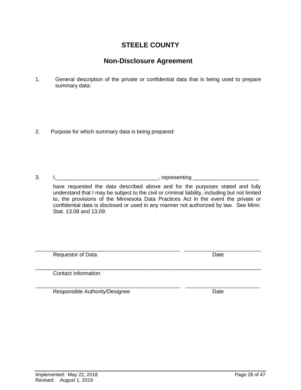# 2. Purpose for which summary data is being prepared:

3. I,\_\_\_\_\_\_\_\_\_\_\_\_\_\_\_\_\_\_\_\_\_\_\_\_\_\_\_\_\_\_\_\_\_\_, representing \_\_\_\_\_\_\_\_\_\_\_\_\_\_\_\_\_\_\_\_\_\_ have requested the data described above and for the purposes stated and fully understand that I may be subject to the civil or criminal liability, including but not limited to, the provisions of the Minnesota Data Practices Act in the event the private or confidential data is disclosed or used in any manner not authorized by law. See Minn. Stat. 13.08 and 13.09.

\_\_\_\_\_\_\_\_\_\_\_\_\_\_\_\_\_\_\_\_\_\_\_\_\_\_\_\_\_\_\_\_\_\_\_\_\_\_\_\_\_\_\_\_\_\_\_\_\_\_\_\_\_ \_\_\_\_\_\_\_\_\_\_\_\_\_\_\_\_\_\_\_\_\_\_\_\_\_\_\_\_ Requestor of Data **Data** Date Date **Date** Date **Date** 

\_\_\_\_\_\_\_\_\_\_\_\_\_\_\_\_\_\_\_\_\_\_\_\_\_\_\_\_\_\_\_\_\_\_\_\_\_\_\_\_\_\_\_\_\_\_\_\_\_\_\_\_\_\_\_\_\_\_\_\_\_\_\_\_\_\_\_\_\_\_\_\_\_\_\_ Contact Information

\_\_\_\_\_\_\_\_\_\_\_\_\_\_\_\_\_\_\_\_\_\_\_\_\_\_\_\_\_\_\_\_\_\_\_\_\_\_\_\_\_\_\_\_\_\_\_\_\_\_\_\_\_ \_\_\_\_\_\_\_\_\_\_\_\_\_\_\_\_\_\_\_\_\_\_\_\_\_\_\_ Responsible Authority/Designee Date

# **STEELE COUNTY**

# **Non-Disclosure Agreement**

1. General description of the private or confidential data that is being used to prepare summary data: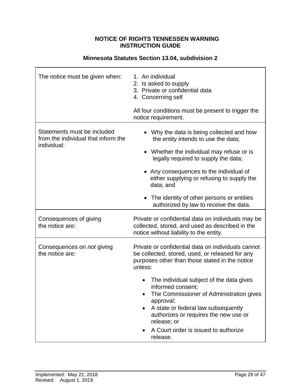#### **NOTICE OF RIGHTS TENNESSEN WARNING INSTRUCTION GUIDE**

| The notice must be given when:                                                    | 1. An individual<br>2. Is asked to supply<br>3. Private or confidential data<br>4. Concerning self<br>All four conditions must be present to trigger the<br>notice requirement.                                                                                                                                                                                                                                                                              |  |
|-----------------------------------------------------------------------------------|--------------------------------------------------------------------------------------------------------------------------------------------------------------------------------------------------------------------------------------------------------------------------------------------------------------------------------------------------------------------------------------------------------------------------------------------------------------|--|
| Statements must be included<br>from the individual that inform the<br>individual: | Why the data is being collected and how<br>the entity intends to use the data;<br>Whether the individual may refuse or is<br>legally required to supply the data;<br>• Any consequences to the individual of<br>either supplying or refusing to supply the<br>data; and<br>The identity of other persons or entities<br>authorized by law to receive the data.                                                                                               |  |
| Consequences of giving<br>the notice are:                                         | Private or confidential data on individuals may be<br>collected, stored, and used as described in the<br>notice without liability to the entity.                                                                                                                                                                                                                                                                                                             |  |
| Consequences on <i>not</i> giving<br>the notice are:                              | Private or confidential data on individuals cannot<br>be collected, stored, used, or released for any<br>purposes other than those stated in the notice<br>unless:<br>The individual subject of the data gives<br>informed consent;<br>The Commissioner of Administration gives<br>approval;<br>A state or federal law subsequently<br>$\bullet$<br>authorizes or requires the new use or<br>release; or<br>A Court order is issued to authorize<br>release. |  |

# **Minnesota Statutes Section 13.04, subdivision 2**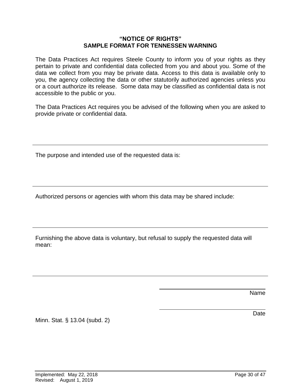#### **"NOTICE OF RIGHTS" SAMPLE FORMAT FOR TENNESSEN WARNING**

The Data Practices Act requires Steele County to inform you of your rights as they pertain to private and confidential data collected from you and about you. Some of the data we collect from you may be private data. Access to this data is available only to you, the agency collecting the data or other statutorily authorized agencies unless you or a court authorize its release. Some data may be classified as confidential data is not accessible to the public or you.

The Data Practices Act requires you be advised of the following when you are asked to provide private or confidential data.

The purpose and intended use of the requested data is:

Authorized persons or agencies with whom this data may be shared include:

Furnishing the above data is voluntary, but refusal to supply the requested data will mean:

Name

Date

Minn. Stat. § 13.04 (subd. 2)

Implemented: May 22, 2018 **Page 30 of 47** Page 30 of 47 Revised: August 1, 2019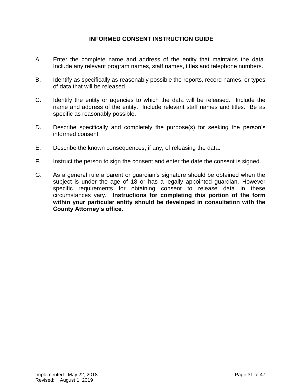# **INFORMED CONSENT INSTRUCTION GUIDE**

- A. Enter the complete name and address of the entity that maintains the data. Include any relevant program names, staff names, titles and telephone numbers.
- B. Identify as specifically as reasonably possible the reports, record names, or types of data that will be released.
- C. Identify the entity or agencies to which the data will be released. Include the name and address of the entity. Include relevant staff names and titles. Be as specific as reasonably possible.
- D. Describe specifically and completely the purpose(s) for seeking the person's informed consent.
- E. Describe the known consequences, if any, of releasing the data.
- F. Instruct the person to sign the consent and enter the date the consent is signed.
- G. As a general rule a parent or guardian's signature should be obtained when the subject is under the age of 18 or has a legally appointed guardian. However specific requirements for obtaining consent to release data in these circumstances vary. **Instructions for completing this portion of the form within your particular entity should be developed in consultation with the County Attorney's office.**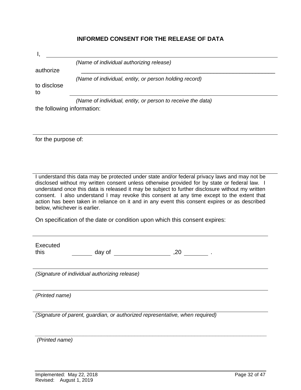| <b>INFORMED CONSENT FOR THE RELEASE OF DATA</b> |  |
|-------------------------------------------------|--|
|-------------------------------------------------|--|

|                   | (Name of individual authorizing release)                    |
|-------------------|-------------------------------------------------------------|
| authorize         |                                                             |
|                   | (Name of individual, entity, or person holding record)      |
| to disclose<br>to |                                                             |
|                   | (Name of individual, entity, or person to receive the data) |

for the purpose of:

I understand this data may be protected under state and/or federal privacy laws and may not be disclosed without my written consent unless otherwise provided for by state or federal law. I understand once this data is released it may be subject to further disclosure without my written consent. I also understand I may revoke this consent at any time except to the extent that action has been taken in reliance on it and in any event this consent expires or as described below, whichever is earlier.

*\_\_\_\_\_\_\_\_\_\_\_\_\_\_\_\_\_\_\_\_\_\_\_\_\_\_\_\_\_\_\_\_\_\_\_\_\_\_\_\_\_\_\_\_\_\_\_\_\_\_\_\_\_\_\_\_\_\_\_\_\_\_\_\_\_\_\_\_\_\_\_\_\_\_\_\_\_*

On specification of the date or condition upon which this consent expires:

| Executed |        |     |
|----------|--------|-----|
| this     | day of | .zu |

*(Signature of individual authorizing release)*

*(Printed name)*

*(Signature of parent, guardian, or authorized representative, when required)*

*(Printed name)*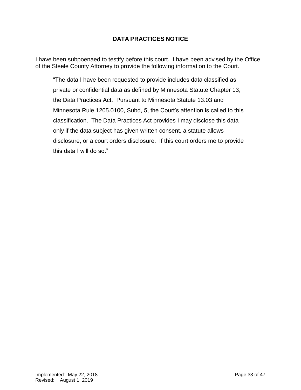# **DATA PRACTICES NOTICE**

I have been subpoenaed to testify before this court. I have been advised by the Office of the Steele County Attorney to provide the following information to the Court.

"The data I have been requested to provide includes data classified as private or confidential data as defined by Minnesota Statute Chapter 13, the Data Practices Act. Pursuant to Minnesota Statute 13.03 and Minnesota Rule 1205.0100, Subd, 5, the Court's attention is called to this classification. The Data Practices Act provides I may disclose this data only if the data subject has given written consent, a statute allows disclosure, or a court orders disclosure. If this court orders me to provide this data I will do so."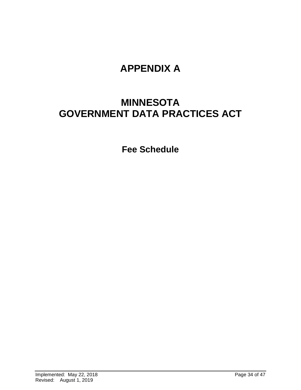# **APPENDIX A**

# **MINNESOTA GOVERNMENT DATA PRACTICES ACT**

**Fee Schedule**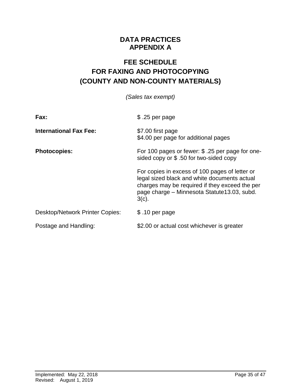# **DATA PRACTICES APPENDIX A**

# **FEE SCHEDULE FOR FAXING AND PHOTOCOPYING (COUNTY AND NON-COUNTY MATERIALS)**

| (Sales tax exempt) |  |
|--------------------|--|
|--------------------|--|

| Fax:                                   | $$.25$ per page                                                                                                                                                                                             |
|----------------------------------------|-------------------------------------------------------------------------------------------------------------------------------------------------------------------------------------------------------------|
| <b>International Fax Fee:</b>          | \$7.00 first page<br>\$4.00 per page for additional pages                                                                                                                                                   |
| <b>Photocopies:</b>                    | For 100 pages or fewer: \$ .25 per page for one-<br>sided copy or \$.50 for two-sided copy                                                                                                                  |
|                                        | For copies in excess of 100 pages of letter or<br>legal sized black and white documents actual<br>charges may be required if they exceed the per<br>page charge - Minnesota Statute13.03, subd.<br>$3(c)$ . |
| <b>Desktop/Network Printer Copies:</b> | \$.10 per page                                                                                                                                                                                              |
| Postage and Handling:                  | \$2.00 or actual cost whichever is greater                                                                                                                                                                  |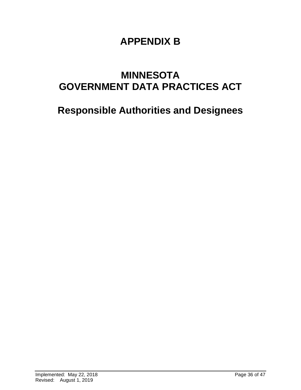# **APPENDIX B**

# **MINNESOTA GOVERNMENT DATA PRACTICES ACT**

# **Responsible Authorities and Designees**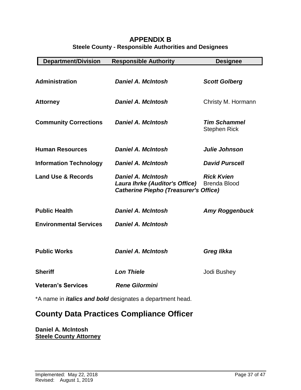# **APPENDIX B Steele County - Responsible Authorities and Designees**

| <b>Department/Division</b>                                       | <b>Responsible Authority</b>                                                                                       | <b>Designee</b>                            |  |
|------------------------------------------------------------------|--------------------------------------------------------------------------------------------------------------------|--------------------------------------------|--|
| <b>Administration</b>                                            | <b>Daniel A. McIntosh</b>                                                                                          | <b>Scott Golberg</b>                       |  |
| <b>Attorney</b>                                                  | <b>Daniel A. McIntosh</b>                                                                                          | Christy M. Hormann                         |  |
| <b>Community Corrections</b>                                     | <b>Daniel A. McIntosh</b>                                                                                          | <b>Tim Schammel</b><br><b>Stephen Rick</b> |  |
| <b>Human Resources</b>                                           | <b>Daniel A. McIntosh</b>                                                                                          | Julie Johnson                              |  |
| <b>Information Technology</b>                                    | <b>Daniel A. McIntosh</b>                                                                                          | <b>David Purscell</b>                      |  |
| <b>Land Use &amp; Records</b>                                    | <b>Daniel A. McIntosh</b><br><b>Laura Ihrke (Auditor's Office)</b><br><b>Catherine Piepho (Treasurer's Office)</b> | <b>Rick Kvien</b><br><b>Brenda Blood</b>   |  |
| <b>Public Health</b>                                             | <b>Daniel A. McIntosh</b>                                                                                          | <b>Amy Roggenbuck</b>                      |  |
| <b>Environmental Services</b>                                    | <b>Daniel A. McIntosh</b>                                                                                          |                                            |  |
| <b>Public Works</b>                                              | <b>Daniel A. McIntosh</b>                                                                                          | <b>Greg Ilkka</b>                          |  |
| <b>Sheriff</b>                                                   | <b>Lon Thiele</b>                                                                                                  | Jodi Bushey                                |  |
| <b>Veteran's Services</b>                                        | <b>Rene Gilormini</b>                                                                                              |                                            |  |
| *A name in <i>italics and bold</i> designates a department head. |                                                                                                                    |                                            |  |

# **County Data Practices Compliance Officer**

**Daniel A. McIntosh Steele County Attorney**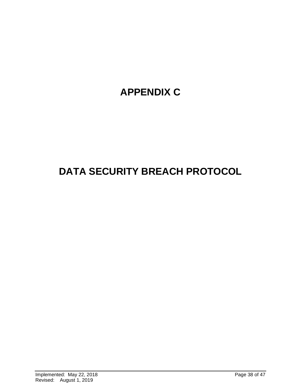# **APPENDIX C**

# **DATA SECURITY BREACH PROTOCOL**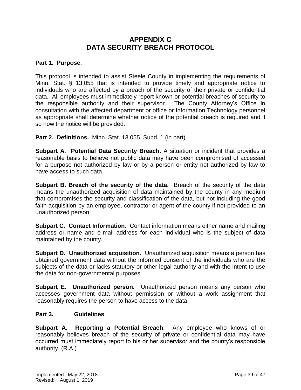# **APPENDIX C DATA SECURITY BREACH PROTOCOL**

#### **Part 1. Purpose**.

This protocol is intended to assist Steele County in implementing the requirements of Minn. Stat. § 13.055 that is intended to provide timely and appropriate notice to individuals who are affected by a breach of the security of their private or confidential data. All employees must immediately report known or potential breaches of security to the responsible authority and their supervisor. The County Attorney's Office in consultation with the affected department or office or Information Technology personnel as appropriate shall determine whether notice of the potential breach is required and if so how the notice will be provided.

**Part 2. Definitions.** Minn. Stat. 13.055, Subd. 1 (in part)

**Subpart A. Potential Data Security Breach.** A situation or incident that provides a reasonable basis to believe not public data may have been compromised of accessed for a purpose not authorized by law or by a person or entity not authorized by law to have access to such data.

**Subpart B. Breach of the security of the data.** Breach of the security of the data means the unauthorized acquisition of data maintained by the county in any medium that compromises the security and classification of the data, but not including the good faith acquisition by an employee, contractor or agent of the county if not provided to an unauthorized person.

**Subpart C. Contact Information.** Contact information means either name and mailing address or name and e-mail address for each individual who is the subject of data maintained by the county.

**Subpart D. Unauthorized acquisition.** Unauthorized acquisition means a person has obtained government data without the informed consent of the individuals who are the subjects of the data or lacks statutory or other legal authority and with the intent to use the data for non-governmental purposes.

**Subpart E. Unauthorized person.** Unauthorized person means any person who accesses government data without permission or without a work assignment that reasonably requires the person to have access to the data.

#### **Part 3. Guidelines**

**Subpart A. Reporting a Potential Breach**. Any employee who knows of or reasonably believes breach of the security of private or confidential data may have occurred must immediately report to his or her supervisor and the county's responsible authority. (R.A.)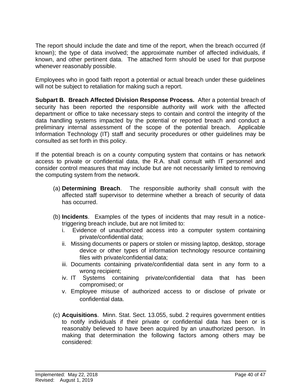The report should include the date and time of the report, when the breach occurred (if known); the type of data involved; the approximate number of affected individuals, if known, and other pertinent data. The attached form should be used for that purpose whenever reasonably possible.

Employees who in good faith report a potential or actual breach under these guidelines will not be subject to retaliation for making such a report.

**Subpart B. Breach Affected Division Response Process.** After a potential breach of security has been reported the responsible authority will work with the affected department or office to take necessary steps to contain and control the integrity of the data handling systems impacted by the potential or reported breach and conduct a preliminary internal assessment of the scope of the potential breach. Applicable Information Technology (IT) staff and security procedures or other guidelines may be consulted as set forth in this policy.

If the potential breach is on a county computing system that contains or has network access to private or confidential data, the R.A. shall consult with IT personnel and consider control measures that may include but are not necessarily limited to removing the computing system from the network.

- (a) **Determining Breach**. The responsible authority shall consult with the affected staff supervisor to determine whether a breach of security of data has occurred.
- (b) **Incidents**. Examples of the types of incidents that may result in a noticetriggering breach include, but are not limited to:
	- i. Evidence of unauthorized access into a computer system containing private/confidential data;
	- ii. Missing documents or papers or stolen or missing laptop, desktop, storage device or other types of information technology resource containing files with private/confidential data;
	- iii. Documents containing private/confidential data sent in any form to a wrong recipient;
	- iv. IT Systems containing private/confidential data that has been compromised; or
	- v. Employee misuse of authorized access to or disclose of private or confidential data.
- (c) **Acquisitions**. Minn. Stat. Sect. 13.055, subd. 2 requires government entities to notify individuals if their private or confidential data has been or is reasonably believed to have been acquired by an unauthorized person. In making that determination the following factors among others may be considered: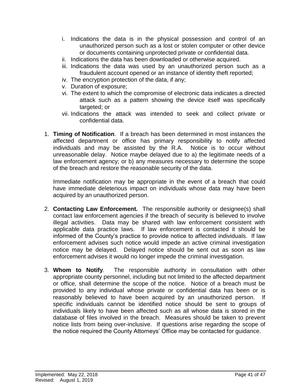- i. Indications the data is in the physical possession and control of an unauthorized person such as a lost or stolen computer or other device or documents containing unprotected private or confidential data.
- ii. Indications the data has been downloaded or otherwise acquired.
- iii. Indications the data was used by an unauthorized person such as a fraudulent account opened or an instance of identity theft reported;
- iv. The encryption protection of the data, if any;
- v. Duration of exposure;
- vi. The extent to which the compromise of electronic data indicates a directed attack such as a pattern showing the device itself was specifically targeted; or
- vii. Indications the attack was intended to seek and collect private or confidential data.
- 1. **Timing of Notification**. If a breach has been determined in most instances the affected department or office has primary responsibility to notify affected individuals and may be assisted by the R.A. Notice is to occur without unreasonable delay. Notice maybe delayed due to a) the legitimate needs of a law enforcement agency; or b) any measures necessary to determine the scope of the breach and restore the reasonable security of the data.

Immediate notification may be appropriate in the event of a breach that could have immediate deleterious impact on individuals whose data may have been acquired by an unauthorized person.

- 2. **Contacting Law Enforcement.** The responsible authority or designee(s) shall contact law enforcement agencies if the breach of security is believed to involve illegal activities. Data may be shared with law enforcement consistent with applicable data practice laws. If law enforcement is contacted it should be informed of the County's practice to provide notice to affected individuals. If law enforcement advises such notice would impede an active criminal investigation notice may be delayed. Delayed notice should be sent out as soon as law enforcement advises it would no longer impede the criminal investigation.
- 3. **Whom to Notify**. The responsible authority in consultation with other appropriate county personnel, including but not limited to the affected department or office, shall determine the scope of the notice. Notice of a breach must be provided to any individual whose private or confidential data has been or is reasonably believed to have been acquired by an unauthorized person. If specific individuals cannot be identified notice should be sent to groups of individuals likely to have been affected such as all whose data is stored in the database of files involved in the breach. Measures should be taken to prevent notice lists from being over-inclusive. If questions arise regarding the scope of the notice required the County Attorneys' Office may be contacted for guidance.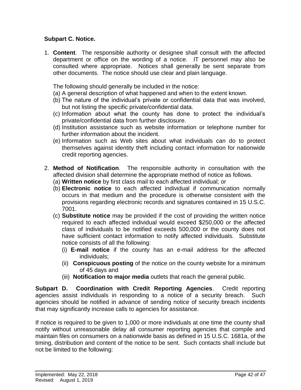# **Subpart C. Notice.**

1. **Content**. The responsible authority or designee shall consult with the affected department or office on the wording of a notice. IT personnel may also be consulted where appropriate. Notices shall generally be sent separate from other documents. The notice should use clear and plain language.

The following should generally be included in the notice:

- (a) A general description of what happened and when to the extent known.
- (b) The nature of the individual's private or confidential data that was involved, but not listing the specific private/confidential data.
- (c) Information about what the county has done to protect the individual's private/confidential data from further disclosure.
- (d) Institution assistance such as website information or telephone number for further information about the incident.
- (e) Information such as Web sites about what individuals can do to protect themselves against identity theft including contact information for nationwide credit reporting agencies.
- 2. **Method of Notification**. The responsible authority in consultation with the affected division shall determine the appropriate method of notice as follows.
	- (a) **Written notice** by first class mail to each affected individual; or
	- (b) **Electronic notice** to each affected individual if communication normally occurs in that medium and the procedure is otherwise consistent with the provisions regarding electronic records and signatures contained in 15 U.S.C. 7001.
	- (c) **Substitute notice** may be provided if the cost of providing the written notice required to each affected individual would exceed \$250,000 or the affected class of individuals to be notified exceeds 500,000 or the county does not have sufficient contact information to notify affected individuals. Substitute notice consists of all the following:
		- (i) **E-mail notice** if the county has an e-mail address for the affected individuals;
		- (ii) **Conspicuous posting** of the notice on the county website for a minimum of 45 days and
		- (iii) **Notification to major media** outlets that reach the general public.

**Subpart D. Coordination with Credit Reporting Agencies**. Credit reporting agencies assist individuals in responding to a notice of a security breach. Such agencies should be notified in advance of sending notice of security breach incidents that may significantly increase calls to agencies for assistance.

If notice is required to be given to 1,000 or more individuals at one time the county shall notify without unreasonable delay all consumer reporting agencies that compile and maintain files on consumers on a nationwide basis as defined in 15 U.S.C. 1681a, of the timing, distribution and content of the notice to be sent. Such contacts shall include but not be limited to the following: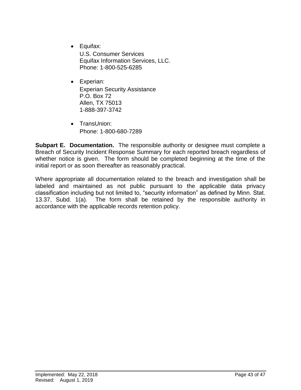- Equifax: U.S. Consumer Services Equifax Information Services, LLC. Phone: 1-800-525-6285
- Experian: Experian Security Assistance P.O. Box 72 Allen, TX 75013 1-888-397-3742
- TransUnion: Phone: 1-800-680-7289

**Subpart E. Documentation.** The responsible authority or designee must complete a Breach of Security Incident Response Summary for each reported breach regardless of whether notice is given. The form should be completed beginning at the time of the initial report or as soon thereafter as reasonably practical.

Where appropriate all documentation related to the breach and investigation shall be labeled and maintained as not public pursuant to the applicable data privacy classification including but not limited to, "security information" as defined by Minn. Stat. 13.37, Subd. 1(a). The form shall be retained by the responsible authority in accordance with the applicable records retention policy.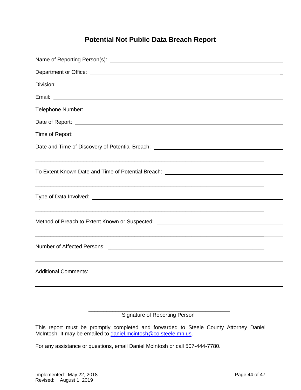# **Potential Not Public Data Breach Report**

| Date of Report: example and a series of the series of the series of the series of the series of the series of |
|---------------------------------------------------------------------------------------------------------------|
|                                                                                                               |
|                                                                                                               |
| To Extent Known Date and Time of Potential Breach: _____________________________                              |
|                                                                                                               |
|                                                                                                               |
|                                                                                                               |
|                                                                                                               |
|                                                                                                               |
| <b>Signature of Reporting Person</b>                                                                          |

This report must be promptly completed and forwarded to Steele County Attorney Daniel McIntosh. It may be emailed to **daniel.mcintosh@co.steele.mn.us.** 

For any assistance or questions, email Daniel McIntosh or call 507-444-7780.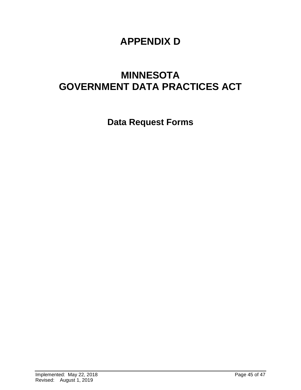# **APPENDIX D**

# **MINNESOTA GOVERNMENT DATA PRACTICES ACT**

**Data Request Forms**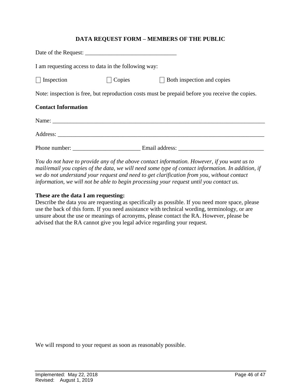### **DATA REQUEST FORM – MEMBERS OF THE PUBLIC**

| I am requesting access to data in the following way:                                                                                                                                                                                |        |                                   |  |  |
|-------------------------------------------------------------------------------------------------------------------------------------------------------------------------------------------------------------------------------------|--------|-----------------------------------|--|--|
| $\Box$ Inspection                                                                                                                                                                                                                   | Copies | $\Box$ Both inspection and copies |  |  |
| Note: inspection is free, but reproduction costs must be prepaid before you receive the copies.                                                                                                                                     |        |                                   |  |  |
| <b>Contact Information</b>                                                                                                                                                                                                          |        |                                   |  |  |
|                                                                                                                                                                                                                                     |        |                                   |  |  |
| Address: <u>Address</u> and the contract of the contract of the contract of the contract of the contract of the contract of the contract of the contract of the contract of the contract of the contract of the contract of the con |        |                                   |  |  |
|                                                                                                                                                                                                                                     |        |                                   |  |  |

*You do not have to provide any of the above contact information. However, if you want us to mail/email you copies of the data, we will need some type of contact information. In addition, if we do not understand your request and need to get clarification from you, without contact information, we will not be able to begin processing your request until you contact us.* 

#### **These are the data I am requesting:**

Describe the data you are requesting as specifically as possible. If you need more space, please use the back of this form. If you need assistance with technical wording, terminology, or are unsure about the use or meanings of acronyms, please contact the RA. However, please be advised that the RA cannot give you legal advice regarding your request.

We will respond to your request as soon as reasonably possible.